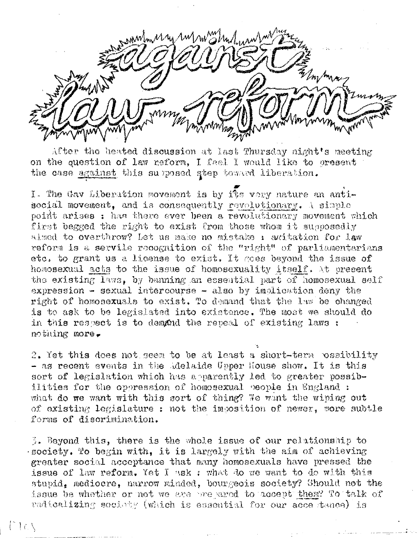when Mus rus no albert when

After the heated discussion at last Thursday night's meeting on the question of law reform, I feel I would like to cresent the case against this supposed step toward liberation.

I. The Gav Liberation movement is by its very nature an antisocial movement, and is consequently revolutionary. A simple point arises ; has there ever been a revolutionary movement which first begged the right to exist from those whom it supposedly aimed to overthrow? Let us make no mistake : awitation for law reform is a servile recognition of the "right" of parliamentarians etc. to grant us a license to exist. It goes beyond the issue of homosexual acts to the issue of homosexuality itself. At present the existing laws, by banning an esseatial part of homosexual self expression - sexual intercourse - also by implication deny the right of homosexuals to exist. To demand that the law be changed is to ask to be legislated into existence. The most we should do in this respect is to demand the repeal of existing laws : nothing more.

2. Yet this does not seem to be at least a short-term possibility - as recent events in the Adelaide Upper House show. It is this sort of legislation which has apparently led to greater possibilities for the operession of homosexual people in England : what do we want with this sort of thing? We want the wining out of existing legislature : not the imposition of newer, more subtle forms of discrimination.

3. Beyond this, there is the whole issue of our relationship to society. To begin with, it is largely with the aim of achieving greater social acceptance that many homosexuals have pressed the issue of law reform. Yet I ask : what do we want to do with this stupid. mediocre, narrow minded, bourgeois society? Should not the issue be whether or not we are one wred to accept them? To talk of radioalizing society (which is essential for our acce tance) is

f Iax